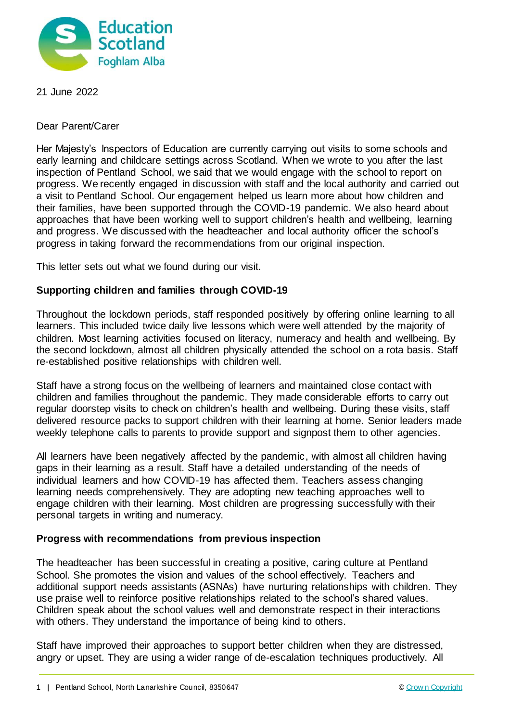

21 June 2022

Dear Parent/Carer

Her Majesty's Inspectors of Education are currently carrying out visits to some schools and early learning and childcare settings across Scotland. When we wrote to you after the last inspection of Pentland School, we said that we would engage with the school to report on progress. We recently engaged in discussion with staff and the local authority and carried out a visit to Pentland School. Our engagement helped us learn more about how children and their families, have been supported through the COVID-19 pandemic. We also heard about approaches that have been working well to support children's health and wellbeing, learning and progress. We discussed with the headteacher and local authority officer the school's progress in taking forward the recommendations from our original inspection.

This letter sets out what we found during our visit.

## **Supporting children and families through COVID-19**

Throughout the lockdown periods, staff responded positively by offering online learning to all learners. This included twice daily live lessons which were well attended by the majority of children. Most learning activities focused on literacy, numeracy and health and wellbeing. By the second lockdown, almost all children physically attended the school on a rota basis. Staff re-established positive relationships with children well.

Staff have a strong focus on the wellbeing of learners and maintained close contact with children and families throughout the pandemic. They made considerable efforts to carry out regular doorstep visits to check on children's health and wellbeing. During these visits, staff delivered resource packs to support children with their learning at home. Senior leaders made weekly telephone calls to parents to provide support and signpost them to other agencies.

All learners have been negatively affected by the pandemic, with almost all children having gaps in their learning as a result. Staff have a detailed understanding of the needs of individual learners and how COVID-19 has affected them. Teachers assess changing learning needs comprehensively. They are adopting new teaching approaches well to engage children with their learning. Most children are progressing successfully with their personal targets in writing and numeracy.

## **Progress with recommendations from previous inspection**

The headteacher has been successful in creating a positive, caring culture at Pentland School. She promotes the vision and values of the school effectively. Teachers and additional support needs assistants (ASNAs) have nurturing relationships with children. They use praise well to reinforce positive relationships related to the school's shared values. Children speak about the school values well and demonstrate respect in their interactions with others. They understand the importance of being kind to others.

Staff have improved their approaches to support better children when they are distressed, angry or upset. They are using a wider range of de-escalation techniques productively. All